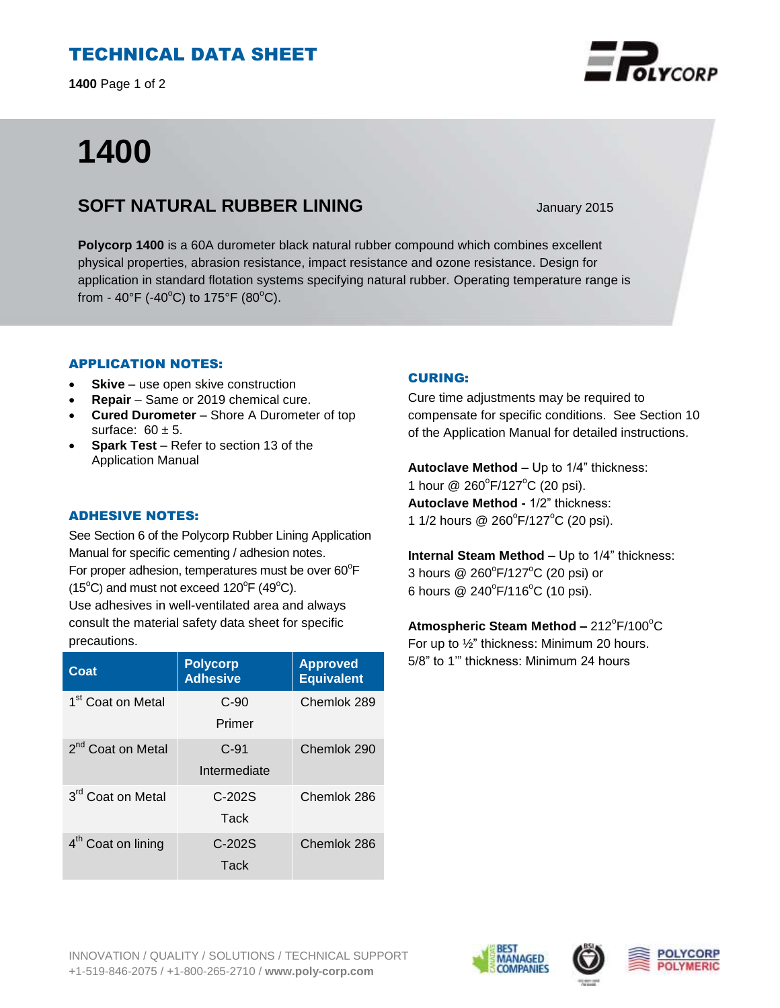# TECHNICAL DATA SHEET

**1400** Page 1 of 2

# **1400**

## **SOFT NATURAL RUBBER LINING** January 2015

**Polycorp 1400** is a 60A durometer black natural rubber compound which combines excellent physical properties, abrasion resistance, impact resistance and ozone resistance. Design for application in standard flotation systems specifying natural rubber. Operating temperature range is from -  $40^{\circ}$ F (- $40^{\circ}$ C) to 175 $^{\circ}$ F ( $80^{\circ}$ C).

## APPLICATION NOTES:

- **Skive** use open skive construction
- **Repair**  Same or 2019 chemical cure.
- **Cured Durometer**  Shore A Durometer of top surface:  $60 \pm 5$ .
- **Spark Test**  Refer to section 13 of the Application Manual

#### ADHESIVE NOTES:

See Section 6 of the Polycorp Rubber Lining Application Manual for specific cementing / adhesion notes. For proper adhesion, temperatures must be over  $60^{\circ}$ F  $(15^{\circ}C)$  and must not exceed  $120^{\circ}F(49^{\circ}C)$ . Use adhesives in well-ventilated area and always consult the material safety data sheet for specific precautions.

| Coat                           | <b>Polycorp</b><br><b>Adhesive</b> | <b>Approved</b><br><b>Equivalent</b> |
|--------------------------------|------------------------------------|--------------------------------------|
| 1 <sup>st</sup> Coat on Metal  | $C-90$<br>Primer                   | Chemlok 289                          |
| 2 <sup>nd</sup> Coat on Metal  | $C-91$<br>Intermediate             | Chemlok 290                          |
| 3rd Coat on Metal              | $C-202S$<br>Tack                   | Chemlok 286                          |
| 4 <sup>th</sup> Coat on lining | $C-202S$<br>Tack                   | Chemlok 286                          |

### CURING:

Cure time adjustments may be required to compensate for specific conditions. See Section 10 of the Application Manual for detailed instructions.

**Autoclave Method –** Up to 1/4" thickness: 1 hour @ 260°F/127°C (20 psi). **Autoclave Method -** 1/2" thickness: 1 1/2 hours @ 260°F/127°C (20 psi).

**Internal Steam Method –** Up to 1/4" thickness: 3 hours  $@$  260 $^{\circ}$ F/127 $^{\circ}$ C (20 psi) or 6 hours  $@$  240 $^{\circ}$ F/116 $^{\circ}$ C (10 psi).

**Atmospheric Steam Method - 212<sup>°</sup>F/100<sup>°</sup>C** For up to ½" thickness: Minimum 20 hours. 5/8" to 1'" thickness: Minimum 24 hours